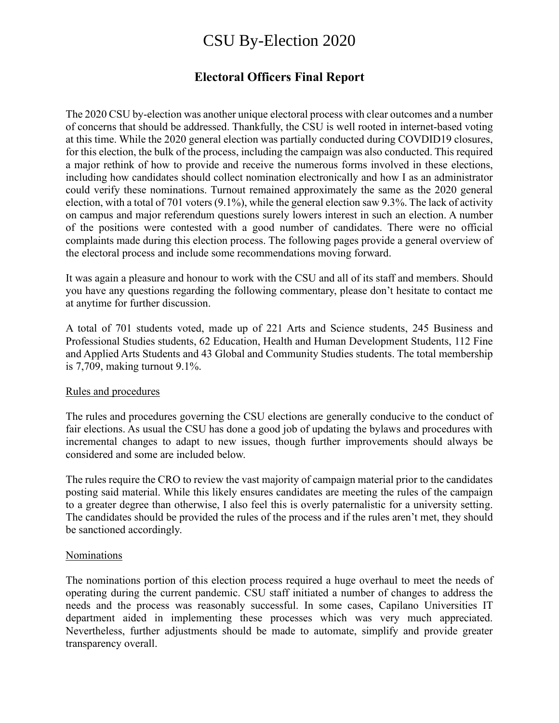# CSU By-Election 2020

## **Electoral Officers Final Report**

The 2020 CSU by-election was another unique electoral process with clear outcomes and a number of concerns that should be addressed. Thankfully, the CSU is well rooted in internet-based voting at this time. While the 2020 general election was partially conducted during COVDID19 closures, for this election, the bulk of the process, including the campaign was also conducted. This required a major rethink of how to provide and receive the numerous forms involved in these elections, including how candidates should collect nomination electronically and how I as an administrator could verify these nominations. Turnout remained approximately the same as the 2020 general election, with a total of 701 voters (9.1%), while the general election saw 9.3%. The lack of activity on campus and major referendum questions surely lowers interest in such an election. A number of the positions were contested with a good number of candidates. There were no official complaints made during this election process. The following pages provide a general overview of the electoral process and include some recommendations moving forward.

It was again a pleasure and honour to work with the CSU and all of its staff and members. Should you have any questions regarding the following commentary, please don't hesitate to contact me at anytime for further discussion.

A total of 701 students voted, made up of 221 Arts and Science students, 245 Business and Professional Studies students, 62 Education, Health and Human Development Students, 112 Fine and Applied Arts Students and 43 Global and Community Studies students. The total membership is 7,709, making turnout 9.1%.

## Rules and procedures

The rules and procedures governing the CSU elections are generally conducive to the conduct of fair elections. As usual the CSU has done a good job of updating the bylaws and procedures with incremental changes to adapt to new issues, though further improvements should always be considered and some are included below.

The rules require the CRO to review the vast majority of campaign material prior to the candidates posting said material. While this likely ensures candidates are meeting the rules of the campaign to a greater degree than otherwise, I also feel this is overly paternalistic for a university setting. The candidates should be provided the rules of the process and if the rules aren't met, they should be sanctioned accordingly.

#### Nominations

The nominations portion of this election process required a huge overhaul to meet the needs of operating during the current pandemic. CSU staff initiated a number of changes to address the needs and the process was reasonably successful. In some cases, Capilano Universities IT department aided in implementing these processes which was very much appreciated. Nevertheless, further adjustments should be made to automate, simplify and provide greater transparency overall.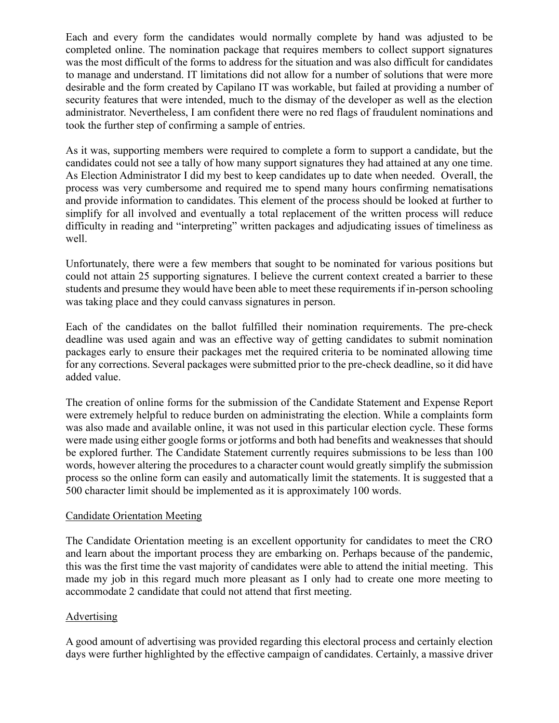Each and every form the candidates would normally complete by hand was adjusted to be completed online. The nomination package that requires members to collect support signatures was the most difficult of the forms to address for the situation and was also difficult for candidates to manage and understand. IT limitations did not allow for a number of solutions that were more desirable and the form created by Capilano IT was workable, but failed at providing a number of security features that were intended, much to the dismay of the developer as well as the election administrator. Nevertheless, I am confident there were no red flags of fraudulent nominations and took the further step of confirming a sample of entries.

As it was, supporting members were required to complete a form to support a candidate, but the candidates could not see a tally of how many support signatures they had attained at any one time. As Election Administrator I did my best to keep candidates up to date when needed. Overall, the process was very cumbersome and required me to spend many hours confirming nematisations and provide information to candidates. This element of the process should be looked at further to simplify for all involved and eventually a total replacement of the written process will reduce difficulty in reading and "interpreting" written packages and adjudicating issues of timeliness as well.

Unfortunately, there were a few members that sought to be nominated for various positions but could not attain 25 supporting signatures. I believe the current context created a barrier to these students and presume they would have been able to meet these requirements if in-person schooling was taking place and they could canvass signatures in person.

Each of the candidates on the ballot fulfilled their nomination requirements. The pre-check deadline was used again and was an effective way of getting candidates to submit nomination packages early to ensure their packages met the required criteria to be nominated allowing time for any corrections. Several packages were submitted prior to the pre-check deadline, so it did have added value.

The creation of online forms for the submission of the Candidate Statement and Expense Report were extremely helpful to reduce burden on administrating the election. While a complaints form was also made and available online, it was not used in this particular election cycle. These forms were made using either google forms or jotforms and both had benefits and weaknesses that should be explored further. The Candidate Statement currently requires submissions to be less than 100 words, however altering the procedures to a character count would greatly simplify the submission process so the online form can easily and automatically limit the statements. It is suggested that a 500 character limit should be implemented as it is approximately 100 words.

## Candidate Orientation Meeting

The Candidate Orientation meeting is an excellent opportunity for candidates to meet the CRO and learn about the important process they are embarking on. Perhaps because of the pandemic, this was the first time the vast majority of candidates were able to attend the initial meeting. This made my job in this regard much more pleasant as I only had to create one more meeting to accommodate 2 candidate that could not attend that first meeting.

## Advertising

A good amount of advertising was provided regarding this electoral process and certainly election days were further highlighted by the effective campaign of candidates. Certainly, a massive driver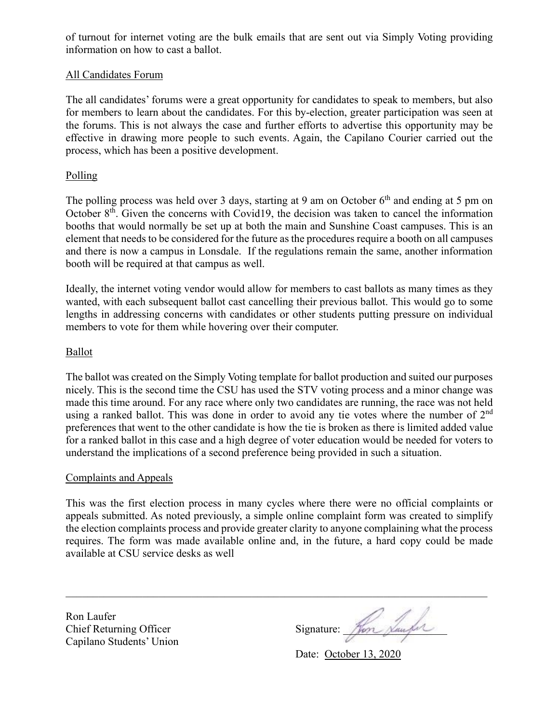of turnout for internet voting are the bulk emails that are sent out via Simply Voting providing information on how to cast a ballot.

## All Candidates Forum

The all candidates' forums were a great opportunity for candidates to speak to members, but also for members to learn about the candidates. For this by-election, greater participation was seen at the forums. This is not always the case and further efforts to advertise this opportunity may be effective in drawing more people to such events. Again, the Capilano Courier carried out the process, which has been a positive development.

## Polling

The polling process was held over 3 days, starting at 9 am on October 6<sup>th</sup> and ending at 5 pm on October  $8<sup>th</sup>$ . Given the concerns with Covid19, the decision was taken to cancel the information booths that would normally be set up at both the main and Sunshine Coast campuses. This is an element that needs to be considered for the future as the procedures require a booth on all campuses and there is now a campus in Lonsdale. If the regulations remain the same, another information booth will be required at that campus as well.

Ideally, the internet voting vendor would allow for members to cast ballots as many times as they wanted, with each subsequent ballot cast cancelling their previous ballot. This would go to some lengths in addressing concerns with candidates or other students putting pressure on individual members to vote for them while hovering over their computer.

## Ballot

The ballot was created on the Simply Voting template for ballot production and suited our purposes nicely. This is the second time the CSU has used the STV voting process and a minor change was made this time around. For any race where only two candidates are running, the race was not held using a ranked ballot. This was done in order to avoid any tie votes where the number of 2<sup>nd</sup> preferences that went to the other candidate is how the tie is broken as there is limited added value for a ranked ballot in this case and a high degree of voter education would be needed for voters to understand the implications of a second preference being provided in such a situation.

## Complaints and Appeals

This was the first election process in many cycles where there were no official complaints or appeals submitted. As noted previously, a simple online complaint form was created to simplify the election complaints process and provide greater clarity to anyone complaining what the process requires. The form was made available online and, in the future, a hard copy could be made available at CSU service desks as well

Ron Laufer Chief Returning Officer Capilano Students' Union

Signature:

Date: October 13, 2020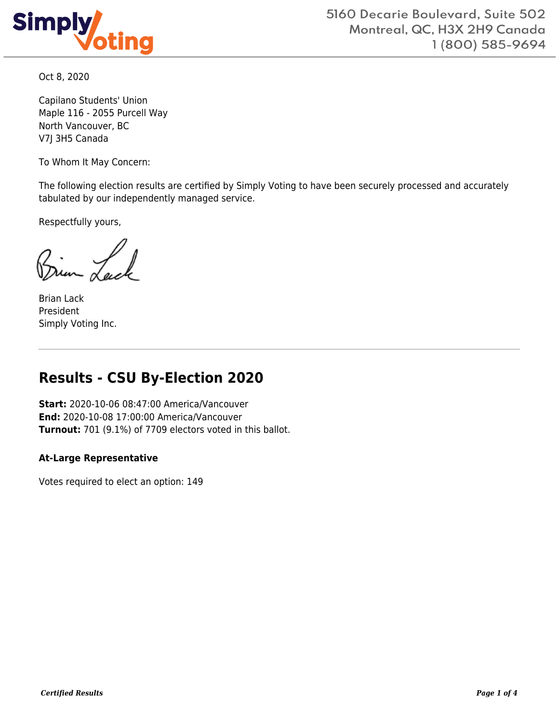

Oct 8, 2020

Capilano Students' Union Maple 116 - 2055 Purcell Way North Vancouver, BC V7J 3H5 Canada

To Whom It May Concern:

The following election results are certified by Simply Voting to have been securely processed and accurately tabulated by our independently managed service.

Respectfully yours,

Brian Lack President Simply Voting Inc.

## **Results - CSU By-Election 2020**

**Start:** 2020-10-06 08:47:00 America/Vancouver **End:** 2020-10-08 17:00:00 America/Vancouver **Turnout:** 701 (9.1%) of 7709 electors voted in this ballot.

## **At-Large Representative**

Votes required to elect an option: 149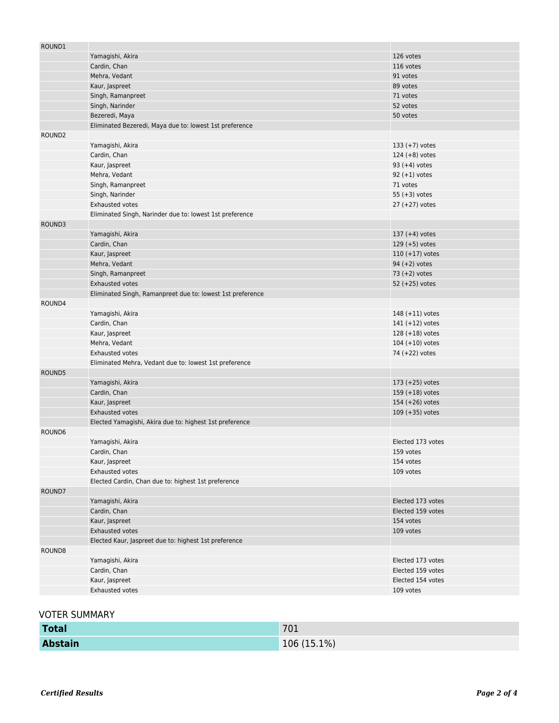| ROUND1             |                                                            |                   |
|--------------------|------------------------------------------------------------|-------------------|
|                    | Yamagishi, Akira                                           | 126 votes         |
|                    | Cardin, Chan                                               | 116 votes         |
|                    | Mehra, Vedant                                              | 91 votes          |
|                    | Kaur, Jaspreet                                             | 89 votes          |
|                    | Singh, Ramanpreet                                          | 71 votes          |
|                    | Singh, Narinder                                            | 52 votes          |
|                    | Bezeredi, Maya                                             | 50 votes          |
|                    | Eliminated Bezeredi, Maya due to: lowest 1st preference    |                   |
| ROUND <sub>2</sub> |                                                            |                   |
|                    | Yamagishi, Akira                                           | $133 (+7)$ votes  |
|                    | Cardin, Chan                                               | 124 $(+8)$ votes  |
|                    | Kaur, Jaspreet                                             | $93 (+4)$ votes   |
|                    | Mehra, Vedant                                              | $92 (+1)$ votes   |
|                    | Singh, Ramanpreet                                          | 71 votes          |
|                    | Singh, Narinder                                            | 55 $(+3)$ votes   |
|                    | <b>Exhausted votes</b>                                     | $27 (+27)$ votes  |
|                    | Eliminated Singh, Narinder due to: lowest 1st preference   |                   |
| ROUND3             |                                                            |                   |
|                    | Yamagishi, Akira                                           | 137 $(+4)$ votes  |
|                    | Cardin, Chan                                               | $129 (+5)$ votes  |
|                    |                                                            |                   |
|                    | Kaur, Jaspreet                                             | $110 (+17)$ votes |
|                    | Mehra, Vedant                                              | 94 $(+2)$ votes   |
|                    | Singh, Ramanpreet                                          | 73 $(+2)$ votes   |
|                    | <b>Exhausted votes</b>                                     | 52 $(+25)$ votes  |
|                    | Eliminated Singh, Ramanpreet due to: lowest 1st preference |                   |
| ROUND4             |                                                            |                   |
|                    | Yamagishi, Akira                                           | $148 (+11)$ votes |
|                    | Cardin, Chan                                               | $141 (+12)$ votes |
|                    | Kaur, Jaspreet                                             | $128 (+18)$ votes |
|                    | Mehra, Vedant                                              | $104 (+10)$ votes |
|                    | <b>Exhausted votes</b>                                     | 74 (+22) votes    |
|                    | Eliminated Mehra, Vedant due to: lowest 1st preference     |                   |
| ROUND5             |                                                            |                   |
|                    | Yamagishi, Akira                                           | $173 (+25)$ votes |
|                    | Cardin, Chan                                               | 159 $(+18)$ votes |
|                    | Kaur, Jaspreet                                             | 154 $(+26)$ votes |
|                    | <b>Exhausted votes</b>                                     | $109 (+35)$ votes |
|                    | Elected Yamagishi, Akira due to: highest 1st preference    |                   |
| ROUND6             |                                                            |                   |
|                    | Yamagishi, Akira                                           | Elected 173 votes |
|                    | Cardin, Chan                                               | 159 votes         |
|                    | Kaur, Jaspreet                                             | 154 votes         |
|                    | Exhausted votes                                            | 109 votes         |
|                    | Elected Cardin, Chan due to: highest 1st preference        |                   |
| ROUND7             |                                                            |                   |
|                    | Yamagishi, Akira                                           | Elected 173 votes |
|                    | Cardin, Chan                                               | Elected 159 votes |
|                    | Kaur, Jaspreet                                             | 154 votes         |
|                    | Exhausted votes                                            | 109 votes         |
|                    | Elected Kaur, Jaspreet due to: highest 1st preference      |                   |
| ROUND8             |                                                            |                   |
|                    | Yamagishi, Akira                                           | Elected 173 votes |
|                    | Cardin, Chan                                               | Elected 159 votes |
|                    | Kaur, Jaspreet                                             | Elected 154 votes |
|                    | Exhausted votes                                            | 109 votes         |
|                    |                                                            |                   |

## VOTER SUMMARY

| <b>Total</b>   | 701         |
|----------------|-------------|
| <b>Abstain</b> | 106 (15.1%) |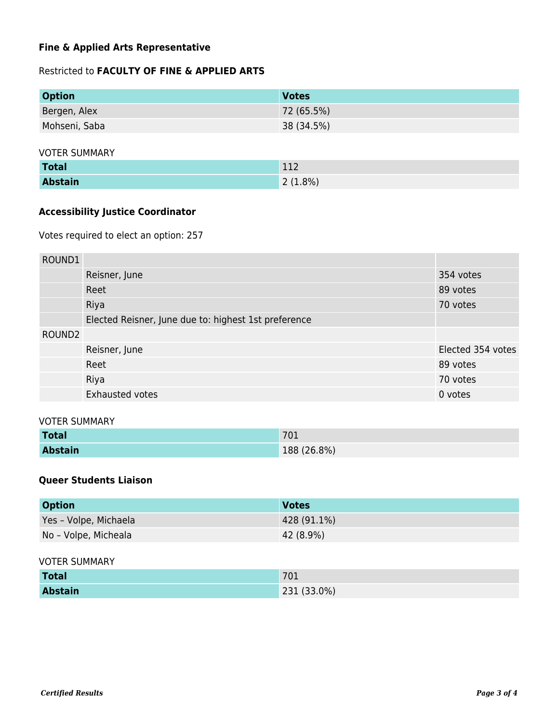## **Fine & Applied Arts Representative**

## Restricted to **FACULTY OF FINE & APPLIED ARTS**

| <b>Option</b> | <b>Votes</b> |
|---------------|--------------|
| Bergen, Alex  | 72 (65.5%)   |
| Mohseni, Saba | 38 (34.5%)   |

#### VOTER SUMMARY

| <b>Total</b>   | 112     |
|----------------|---------|
| <b>Abstain</b> | 2(1.8%) |

## **Accessibility Justice Coordinator**

Votes required to elect an option: 257

| ROUND1             |                                                      |                   |
|--------------------|------------------------------------------------------|-------------------|
|                    | Reisner, June                                        | 354 votes         |
|                    | Reet                                                 | 89 votes          |
|                    | Riya                                                 | 70 votes          |
|                    | Elected Reisner, June due to: highest 1st preference |                   |
| ROUND <sub>2</sub> |                                                      |                   |
|                    | Reisner, June                                        | Elected 354 votes |
|                    | Reet                                                 | 89 votes          |
|                    | Riya                                                 | 70 votes          |
|                    | Exhausted votes                                      | 0 votes           |

#### VOTER SUMMARY

| <b>Total</b>   | 701         |
|----------------|-------------|
| <b>Abstain</b> | 188 (26.8%) |

## **Queer Students Liaison**

| <b>Option</b>         | <b>Votes</b> |
|-----------------------|--------------|
| Yes - Volpe, Michaela | 428 (91.1%)  |
| No - Volpe, Micheala  | 42 (8.9%)    |

#### VOTER SUMMARY

| <b>Total</b>   | 701         |
|----------------|-------------|
| <b>Abstain</b> | 231 (33.0%) |